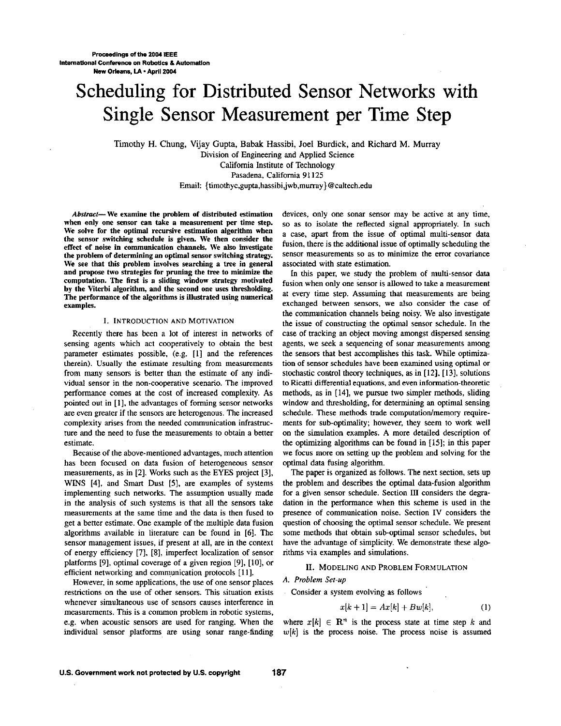# Scheduling for Distributed Sensor Networks with Single Sensor Measurement per Time Step

Timothy H. Chung, Vijay Gupta, Babak Hassibi, Joel Burdick, and Richard M. Murray Division of Engineering and Applied Science California Institute *of* Technology Pasadena, California **91** 125

Email: {timothyc,gupta,hassibi,jwb,murray}@caltech.edu

*Abstract-* We examine the prohlem of distributed estimation when only one sensor can take a measurement per time step. We solve for the optimal recursive estimation algorithm when the sensor switching schedule **is** given. We then consider the effect of noise in communication channels. We also investigate the problem of determining an optimal **sensor** switching strategy. We see that this problem involves searching a tree in general and propose two strategies for pruning the tree to minimize the computation. The first is a sliding window strategy motivated by the Viterhi algorithm, and the second one uses thresholding. The performance of the algorithms is illustrated using numerical examples.

## I. INTRODUCTION AND MOTIVATION

Recently there has been a lot of interest in networks of sensing agents which act cooperatively to obtain the best parameter estimates possible. (e.g. **[I]** and the references therein). Usually the estimate resulting from measurements from many sensors is better than the estimate of any individual sensor in the non-cooperative scenario. The improved performance comes at the cost of increased complexity. **As**  pointed out in **[I],** the advantages of forming sensor networks are even greater if the sensors are heterogenous. The increased complexity arises from the needed communication infrastructure and the need to fuse the measurements to obtain a better estimate.

Because of the above-mentioned advantages, much attention has been focused on data fusion of heterogeneous sensor measurements, as in **[Z].** Works such as the EYES project **[3],**  WINS **[4],** and Smart Dust **[5],** *are* examples of systems implementing such networks. The assumption usually made in the analysis of such systems is that all the sensors take measurements at the same time and the data is then fused to get a better estimate. One example of the multiple data fusion algorithms available in literature can be found in **[6].** The sensor management issues, if present at all, are in the context of energy efficiency **[7], [SI,** imperfect localization of sensor platforms **[9],** optimal coverage of a given region **[9], [lo],** or efficient networking and communication protocols **[ll].** 

However, in some applications, the use of one sensor places restrictions on the use of other sensors. This situation exists whenever simultaneous use of sensors causes interference in measurements. This is a common problem in robotic systems, e.g. when acoustic sensors are used for ranging. When the individual sensor platforms are using sonar range-finding devices, only one sonar sensor may be active at any time, so as to isolate the reflected signal appropriately. In such a case, apart from the issue of optimal multi-sensor data fusion, there is the additional issue of optimally scheduling the sensor measurements so as to minimize the error covariance associated with state estimation.

In this paper, we study the problem of multi-sensor data fusion when only one sensor is allowed to take a measurement at every time step. Assuming that measurements are being exchanged between sensors, we also consider the case of the communication channels being noisy. We also investigate the issue of constructing the optimal sensor schedule. In the case of tracking an object moving amongst dispersed sensing agents, we seek a sequencing of sonar measurements among the sensors that best accomplishes this task. While optimization of sensor schedules have been examined using optimal or stochastic control theory techniques, as in **[12]. [13].** solutions to Ricatti differential equations, and even information-theoretic methods, **as** in [ **141,** we pursue two simpler methods, sliding window and thresholding, for determining an optimal sensing schedule. These methods trade computation/memory requirements for sub-optimality; however, they seem to work well on the simulation examples. A more detailed description of the optimizing algorithms can be found in **1151;** in this paper we focus more on setting up the problem and solving for the optimal data fusing algorithm.

The paper is organized as follows. The next section, sets up the problem and describes the optimal data-fusion algorithm for a given sensor schedule. Section III considers the degradation in the performance when this scheme is used in the presence of communication noise. Section N considers the question of choosing the optimal sensor schedule. We present some methods that obtain sub-optimal sensor schedules, but have the advantage of simplicity. We demonstrate these algorithms via examples and simulations.

## **11.** MODELING AND PROBLEM FORMULATION

## *A. Pmblem Set-up*

Consider a system evolving as follows

$$
x[k+1] = Ax[k] + Bw[k], \qquad (1)
$$

where  $x[k] \in \mathbb{R}^n$  is the process state at time step k and  $w[k]$  is the process noise. The process noise is assumed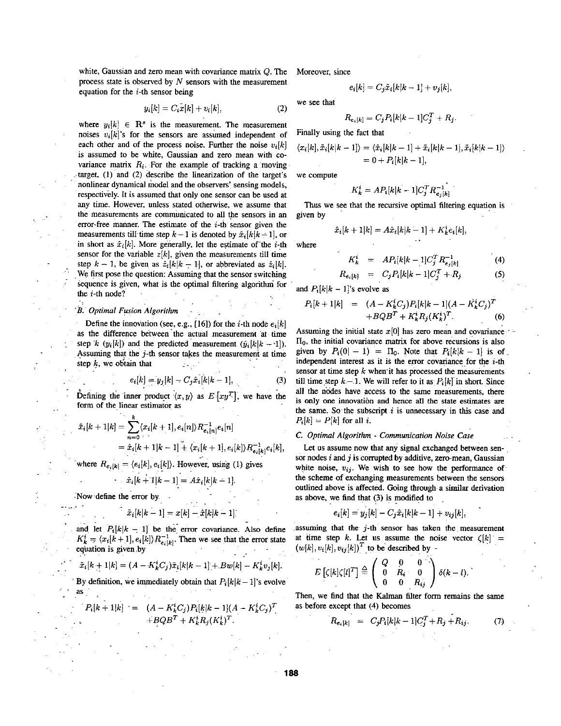white, Gaussian and zero mean with covariance matrix Q. The process state is observed by *N* sensors with the measurement equation for the  $i$ -th sensor being

$$
y_i[k] = C_i \dot{x}[k] + v_i[k], \qquad (2)
$$

where  $y_i[k] \in \mathbb{R}^s$  is the measurement. The measurement noises  $v_i[k]$ 's for the sensors are assumed independent of each other and of the process noise. Further the noise  $v_i[k]$ is assumed to he white, Gaussian and zero **mean** with covariance matrix  $R_i$ . For the example of tracking a moving target, (1) and (2) describe the linearization of the target's nonlinear dynamical model and the observers' sensing models, respectively. It is assumed that only one sensor can he used at any time. However, unless stated otherwise, we assume that the measurements are communicated to all the sensors in an error-free manner. The estimate of the *i-th* sensor given the measurements till time step  $k - 1$  is denoted by  $\hat{x}_i[k|k-1]$ , or in short as  $\hat{x}_i[k]$ . More generally, let the estimate of the *i*-th sensor for the variable  $z[k]$ , given the measurements till time step  $k - 1$ , be given as  $\hat{z}_i[k|k-1]$ , or abbreviated as  $\hat{z}_i[k]$ . .We first pose the question: **Assuming** that the sensor switching sequence is given, what is the optimal filtering algorithm for the  $i$ -th node?

## $B.$  Optimal Fusion Algorithm

Define the innovation (see, e.g.,  $[16]$ ) for the *i*-th node  $e_i[k]$ as the difference between the actual measurement at time step *k*  $(y_i[k])$  and the predicted measurement  $(\hat{y}_i[k|k-1])$ . step *k*  $(y_i[k])$  and the predicted measurement  $(\hat{y}_i[k]k - 1]$ .<br>
Assuming that the *j*-th sensor takes the measurement at time step *k*, we obtain that  $e_i[k] = y_j[k] - C_j \hat{x}_i[k|k - 1]$ , (3)

$$
e_i[k] = y_j[k] - C_j \hat{x}_i[k|k-1],
$$
 (3)

Defining the inner product  $\langle x, y \rangle$  as  $E\left[xy^T\right]$ , we have the form of the linear estimator as

$$
\hat{x}_i[k+1|k] = \sum_{n=0}^k \langle x_i[k+1], e_i[n] \rangle R_{e_i[n]}^{-1} e_i[n] \n= \hat{x}_i[k+1|k-1] + \langle x_i[k+1], e_i[k] \rangle R_{e_i[k]}^{-1} e_i[k],
$$

where  $R_{e_i[k]} = \langle e_i[k], e_i[k] \rangle$ . However, using (1) gives

$$
\hat{x}_i[k+1|k-1] = A\hat{x}_i[k|k-1].
$$

. Now define the error by.

$$
\tilde{x}_i[k|k-1] = x[k] - \hat{x}[k|k-1]
$$

Now define the error by.<br>  $\tilde{x}_i[k|k-1] = x[k] - \hat{x}[k|k-1]$ <br>
and let  $P_i[k|k-1]$  be the error covariance. Also define<br>  $K_k^i = \langle x_i[k+1], e_i[k] \rangle R_{e_i[k]}^{-1}$ . Then we see that the error state  $\mathbf{E}_{k} = \langle \mathbf{w}_{1} | \mathbf{w}_{1} \rangle$ ,  $\mathbf{v}_{e_{i}} | \mathbf{w}_{i}$ . Then we see that the criot state equation is given.by

$$
\tilde{x}_i[k+1|k] = (A - K_k^i C_j)\tilde{x}_i[k|k-1] + Bw[k] - K_k^i v_j[k].
$$

By definition, we immediately obtain that  $P_i[k|k-1]$ 's evolve **.as.** 

$$
P_i[k+1|k] = (A - K_k^i C_j) P_i[k|k-1](A - K_k^i C_j)^T
$$
  
+
$$
+ BQB^T + K_k^i R_j (K_k^i)^T.
$$

Moreover, since

$$
e_i[k] = C_j \tilde{x}_i[k|k-1] + v_j[k],
$$

we see that

$$
R_{e_i[k]}=C_jP_i[k|k-1]C_j^T+R_j.
$$

Finally using the fact that

$$
\langle x_i[k], \tilde{x}_i[k|k-1] \rangle = \langle \hat{x}_i[k|k-1] + \tilde{x}_i[k|k-1], \tilde{x}_i[k|k-1] \rangle
$$
  
= 0 + P<sub>i</sub>[k|k-1],

we compute

$$
K_k^i = AP_i[k|k-1]C_j^T R_{e_i[k]}^{-1}
$$

Thus we see that the recursive optimal filtering equation is given by

$$
\hat{x}_i[k+1|k] = A\hat{x}_i[k|k-1] + K_k^i e_i[k],
$$
  
where

$$
K^{i} = 4P_{i}[k|k-1]C^{T}R^{-1}
$$

$$
K_k^i = AP_i[k|k-1]C_j^T R_{e_j[k]}^{-1}
$$
  
\n
$$
R_{e_i[k]} = C_j P_i[k|k-1]C_j^T + R_j
$$
 (5)

.

$$
\sum_{i=1}^{n} a_i
$$

and  $P_i[k|k-1]$ 's evolve as

$$
P_i[k+1|k] = (A - K_k^i C_j) P_i[k|k-1](A - K_k^i C_j)^T
$$
  
+
$$
+ BQB^T + K_k^i R_j (K_k^i)^T.
$$
 (6)

Assuming the initial state  $x[0]$  has zero mean and covariance  $\prod_0$ , the initial covariance matrix for above recursions is also given by  $P_i(0|-1) = \Pi_0$ . Note that  $P_i[k|k-1]$  is of. independent interest as it is the error covariance for the *i*-th sensor at time step *k* when it has processed the measurements till time-step  $k-1$ . We will refer to it as  $P_i[k]$  in short. Since all the nodes have access to the same measurements, there is **only** one innovation and hence all the state estimates **are**  the same. So'the subscript *i* is unnecessary in this case and  $P_i[k] = P[k]$  for all *i*.

## *C. Optimal AIgoriihm* - *Communicaiion Noise Case*

Let us assume now that any signal exchanged between sensor nodes  $i$  and  $j$  is corrupted by additive, zero-mean, Gaussian white noise,  $v_{ij}$ . We wish to see how the performance of the scheme of exchanging measurements between the sensors outlined above is affected. **Going** tbrough a similar derivation **as** above, we find that (3) is modified to

$$
e_i[k] = y_j[k] - C_j \hat{x}_i[k|k-1] + v_{ij}[k],
$$

assuming that the  $j$ -th sensor has taken the measurement at time step k. Let us assume the noise vector  $\zeta[k]$  =  $(w[k], v_i[k], v_{ij}[k])<sup>T</sup>$  to be described by -

$$
E\left[\zeta[k]\zeta[l]^T\right] \stackrel{\triangle}{=} \left(\begin{array}{ccc} Q & 0 & 0 \\ 0 & R_i & 0 \\ 0 & 0 & R_{ij} \end{array}\right) \delta(k-l).
$$

Then, we find that the Kalman filter form remains the same as before except that **(4)** becomes

$$
R_{e_i[k]} = C_j P_i[k|k-1]C_j^T + R_j + R_{ij}.
$$
 (7)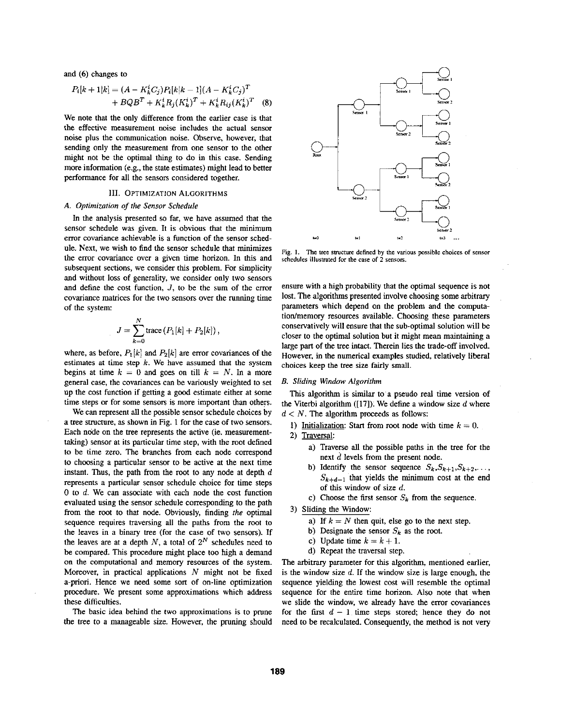and *(6)* changes to

$$
P_i[k+1|k] = (A - K_k^i C_j) P_i[k|k-1](A - K_k^i C_j)^T
$$
  
+  $BQB^T + K_k^i R_j (K_k^i)^T + K_k^i R_{ij} (K_k^i)^T$  (8)

We note that the only difference from the earlier case is that the effective measurement noise includes the actual sensor noise plus the communication noise. Observe, however, that sending only the measurement from one sensor to the other might not be the optimal thing to do in this case. Sending more information (e.g., the state estimates) might lead to better performance for all the sensors considered together.

## 111. **OPTIMIZATION ALGORITHMS**

## *A. Optimization of* **rlie** *Sensor Schedule*

In the analysis presented *so* far, we have assumed that the sensor schedule was given. It is obvious that the minimum error covariance achievable is a function of the sensor schedule. Next, we wish to find the sensor schedule that minimizes the error covariance over a given time horizon. In **this** and subsequent sections, we consider this problem. For simplicity and without **loss** of generality, we consider only two sensors and define the cost function, *J,* to be the sum of the error covariance matrices for the two sensors over the running time of the system:

$$
J=\sum_{k=0}^N\hbox{trace}\left(P_1[k]+P_2[k]\right),
$$

where, as before,  $P_1[k]$  and  $P_2[k]$  are error covariances of the estimates at time step *k.* We have assumed that the system begins at time  $k = 0$  and goes on till  $k = N$ . In a more general case, the covariances can he variously weighted to set up the cost function if getting a good estimate either at some time steps or for some sensors is more important than others.

We can represent **all** the possible sensor schedule choices by a tree structure, as shown in Fig. 1 for the case of two sensors. Each node on the tree represents the active (ie. measurementtaking) sensor at its particular time step, with the root defined to he time zero. The branches from each node correspond to choosing a particular sensor to be active at the next time instant. Thus, the path from the root to any node at depth  $d$ represents a particular sensor schedule choice for time steps 0 to *d.* We can associate with each node the cost function evaluated using the sensor schedule corresponding to the path from the root to that node. Obviously, finding *rhe* optimal sequence requires traversing all the paths from the root to the leaves in a binary tree (for the case of two sensors). If the leaves are at a depth  $N$ , a total of  $2^N$  schedules need to be compared. **This** procedure might place too high a demand on the computational and memory resources of the system. Moreover, in practical applications *N* might not be fixed a-priori. Hence we need some sort of on-line optimization procedure. We present some approximations which address these difficulties.

The basic idea behind the two approximations **is** to prune the tree to a manageable size. However, the pruning should



**Fig. I. The tree swctm defined by the various possible choices of sensor schedules illusmated** for **the case of 2 sensors.** 

ensure with a high probability that the optimal sequence is not lost. The algorithms presented involve choosing some arbitrary parameters which depend on the problem and the computation/memory resources available. Choosing these parameters conservatively will ensure that the suh-optimal solution will be closer to the optimal solution hut it might mean maintaining a large part of the tree intact. Therein lies the trade-off involved. However, in the numerical examples studied, relatively liberal choices keep the tree size fairly small.

#### *B. Sliding Window Algorithm*

**This** algorithm is similar to a pseudo real time version of the Viterbi algorithm **([17]).** We define a window size *d* where the viterbi algorithm ([17]). we define a win<br>  $d < N$ . The algorithm proceeds as follows:<br>
1) <u>Initialization</u>: Start from root node wit<br>
2) <u>Traversal:</u><br>
2) Traversa ell the possible peths is

- 1) Initialization: Start from root node with time  $k = 0$ .
- - a) Traverse all the possible paths in the tree for the next *d* levels from the present node.
	- b) Identify the sensor sequence  $S_k, S_{k+1}, S_{k+2}, \ldots$ ,  $S_{k+d-1}$  that yields the minimum cost at the end of **this** window of size *d.*
	- c) Choose the first sensor  $S_k$  from the sequence.

3) Sliding the Window:

- a) If  $k = N$  then quit, else go to the next step.
- b) Designate the sensor  $S_k$  as the root.
- c) Update time  $k = k + 1$ .
- d) Repeat the traversal step.

The arbitrary parameter for **this** algorithm, mentioned earlier, is the window size *d.* If the window size **is** large enough, the sequence yielding the lowest cost will resemble the optimal sequence for the entire time horizon. **Also** note that when we slide the window, we already have the error covariances for the first  $d - 1$  time steps stored; hence they do not need to be recalculated. Consequently, the method is not very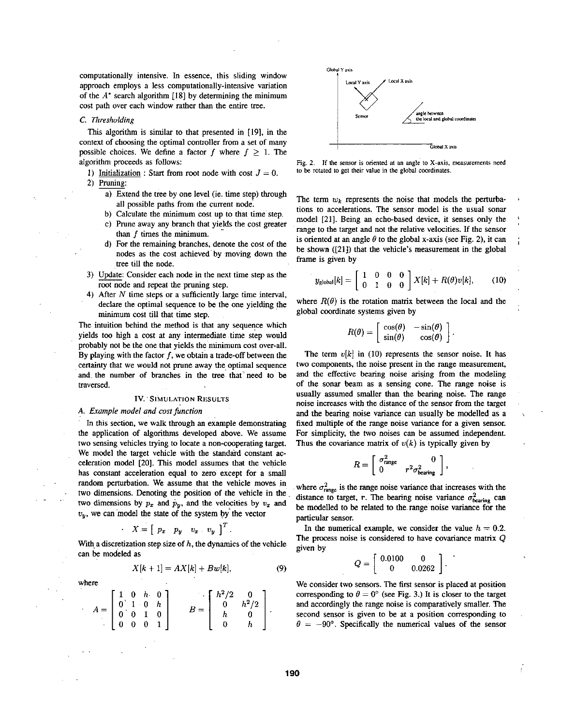computationally intensive. In essence, this sliding window approach employs a less computationally-intensive variation of the  $A^*$  search algorithm [18] by determining the minimum cost path over each window rather than the entire tree.

## *C. Threshulding*

This algorithm is similar to that presented in [19], in the context of choosing the optimal controller from a set of many possible choices. We define a factor *f* where  $f \geq 1$ . The algorithm proceeds **as** follows:

- 1) Initialization : Start from root node with cost  $J = 0$ . **2)** Pruning:
	- a) Extend the tree by one level (ie. time step) through **all** possible paths from the current node
	- b) Calculate the minimum cost up to that time'step.
	- c) Prune away any branch that yields the cost greater than  $f$  times the minimum.
	- d) For the remaining branches, denote the cost of the nodes as the cost achieved by moving down the tree till the node.
- 3) Update: Consider each node in the next time step as the root node and repeat the pruning step.
- **4)** After *N* time steps or a sufficiently large time interval, declare the optimal sequence to be the one yielding the minimum cost till that time step.

The intuition behind the method is that any sequence which yields too high a cost at any intermediate time step would probably not be the one that yields the'nunimum cost over-all. By playing with the factor *f,* we obtain a trade-off between the certainty that we would not prune away the^ optimal sequence and the number **of** branches in the tree that'need to **be**  traversed.

#### **IV. SIMULATION RESULTS**

## *A. Example model and cosifunction*

. . .<br>يو . **.** 

where

In **this** section, we walk through an example demonstrating the application of algorithms developed above. We assume two sensing vehicles trying to locate a non-cooperating target. We model the target vehicle with the standard constant acceleration model [20]. This model assumes that the vehicle has constant acceleration equal to zero except for a small random perturbation. We assume that the vehicle moves in two dimensions. Denoting the position **of** the vehicle in the two dimensions by  $p_x$  and  $p_y$ , and the velocities by  $v_x$  and  $v_y$ , we can model the state of the system by the vector

$$
X = [p_x \quad p_y \quad v_x \quad v_y]^\mathrm{T}.
$$

With a discretization step size of  $h$ , the dynamics of the vehicle can be modeled as

$$
X[k+1] = AX[k] + Bw[k], \tag{9}
$$

here  
\n
$$
A = \begin{bmatrix} 1 & 0 & h & 0 \\ 0 & 1 & 0 & h \\ 0 & 0 & 1 & 0 \\ 0 & 0 & 0 & 1 \end{bmatrix} \qquad B = \begin{bmatrix} h^2/2 & 0 \\ 0 & h^2/2 \\ h & 0 \\ 0 & h \end{bmatrix}.
$$



Fig. 2. If the sensor is oriented at an angle to X-axis, measurements need to be rotated **in** get their **mlue** in the **global** coordinates.

The term  $w_k$  represents the noise that models the perturbations to accelerations. The sensor model is the usual sonar model **[21].** Being an echo-based device, it senses only the range to the target and not the relative velocities. If the sensor is oriented at an angle  $\theta$  to the global x-axis (see Fig. 2), it can he shown ([21]) that the vehicle's measurement in the global frame is given by b) Calculate the minimum cost up to that time step.<br>
c) Prune away any branch that yields the cost greater<br>
than f times the minimum.<br>
d) For the remaining branches, denote the cost of the<br>
nodel [21]. Being an echo-based

$$
y_{\text{global}}[k] = \left[\begin{array}{ccc} 1 & 0 & 0 & 0 \\ 0 & 1 & 0 & 0 \end{array}\right] X[k] + R(\theta)v[k], \quad (10)
$$

where  $R(\theta)$  is the rotation matrix between the local and the global coordinate systems given by

$$
R(\theta) = \begin{bmatrix} \cos(\theta) & -\sin(\theta) \\ \sin(\theta) & \cos(\theta) \end{bmatrix}.
$$

The term  $v[k]$  in (10) represents the sensor noise. It has two components, the noise present in the range measurement, and the effective bearing noise arising from the modeling of the sonar beam as a sensing cone. The range noise is usually assumed smaller than the bearing noise. The range noise increases with the distance of the sensor from the target and the bearing noise variance can usually be modelled as a fixed multiple of the range noise variance for **a** given sensor. For simplicity, the two noises can **be** assumed independent. Thus the covariance matrix of  $v(k)$  is typically given by

$$
R = \left[ \begin{array}{cc} \sigma_{\rm range}^2 & 0 \\ 0 & r^2 \sigma_{\rm bearing}^2 \end{array} \right],
$$

where  $\sigma_{\text{range}}^2$  is the range noise variance that increases with the distance to target, *r*. The bearing noise variance  $\sigma_{\text{learning}}^2$  can be modelled to be related to **the** range noise variance for the particular sensor.

In the numerical example, we consider the value  $h = 0.2$ . The process noise is considered to have covariance matrix Q given by

$$
Q = \left[ \begin{array}{cc} 0.0100 & 0 \\ 0 & 0.0262 \end{array} \right].
$$

We consider two sensors. The first sensor is placed at position corresponding to  $\theta = 0^{\circ}$  (see Fig. 3.) It is closer to the target and accordingly the range noise is comparatively smaller. The second sensor is given to be at a position corresponding to  $\theta = -90^{\circ}$ . Specifically the numerical values of the sensor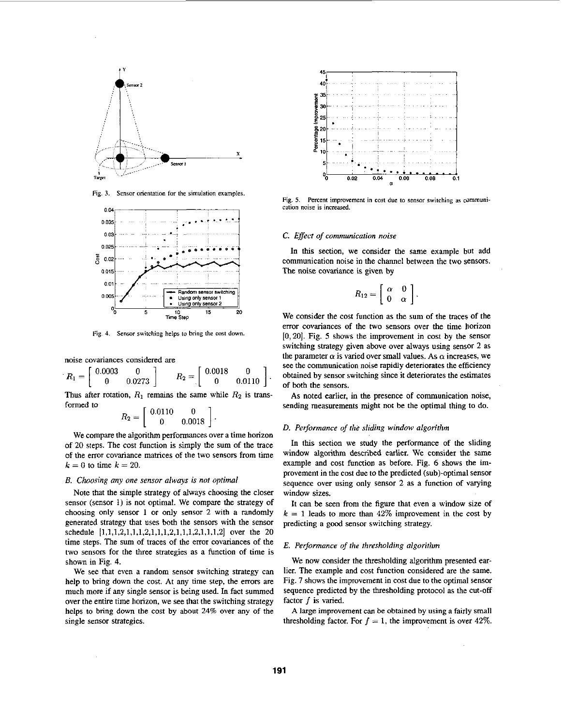<span id="page-4-0"></span>

Fig. 3. Sensor orientation for the simulation examples.



Sensor switching helps to bring the cost down.

noise covariances considered are

$$
R_1 = \left[ \begin{array}{cc} 0.0003 & 0 \\ 0 & 0.0273 \end{array} \right] \qquad R_2 = \left[ \begin{array}{cc} 0.0018 & 0 \\ 0 & 0.0110 \end{array} \right].
$$

Thus after rotation,  $R_1$  remains the same while  $R_2$  is transformed to

$$
R_2 = \left[ \begin{array}{cc} 0.0110 & 0 \\ 0 & 0.0018 \end{array} \right]
$$

We compare the algorithm performances over a time horizon of 20 steps. The cost function is simply the sum of the trace of the error covariance matrices of the two sensors from time  $k = 0$  to time  $k = 20$ .

## B. Choosing any one sensor always is not optimal

Note that the simple strategy of always choosing the closer sensor (sensor 1) is not optimal. We compare the strategy of choosing only sensor 1 or only sensor 2 with a randomly generated strategy that uses both the sensors with the sensor schedule  $[1,1,1,2,1,1,1,2,1,1,1,2,1,1,1,2,1,1,1,2]$  over the 20 time steps. The sum of traces of the error covariances of the two sensors for the three strategies as a function of time is shown in Fig. 4.

We see that even a random sensor switching strategy can help to bring down the cost. At any time step, the errors are much more if any single sensor is being used. In fact summed over the entire time horizon, we see that the switching strategy helps to bring down the cost by about 24% over any of the single sensor strategies.



Fig. 5. Percent improvement in cost due to sensor switching as communication noise is increased.

## C. Effect of communication noise

In this section, we consider the same example but add communication noise in the channel between the two sensors. The noise covariance is given by

$$
R_{12}=\left[\begin{array}{cc} \alpha & 0 \\ 0 & \alpha \end{array}\right].
$$

We consider the cost function as the sum of the traces of the error covariances of the two sensors over the time horizon  $[0, 20]$ . Fig. 5 shows the improvement in cost by the sensor switching strategy given above over always using sensor 2 as the parameter  $\alpha$  is varied over small values. As  $\alpha$  increases, we see the communication noise rapidly deteriorates the efficiency obtained by sensor switching since it deteriorates the estimates of both the sensors.

As noted earlier, in the presence of communication noise, sending measurements might not be the optimal thing to do.

#### D. Performance of the sliding window algorithm

In this section we study the performance of the sliding window algorithm described earlier. We consider the same example and cost function as before. Fig. 6 shows the improvement in the cost due to the predicted (sub)-optimal sensor sequence over using only sensor 2 as a function of varying window sizes.

It can be seen from the figure that even a window size of  $k = 1$  leads to more than 42% improvement in the cost by predicting a good sensor switching strategy.

## E. Performance of the thresholding algorithm

We now consider the thresholding algorithm presented earlier. The example and cost function considered are the same. Fig. 7 shows the improvement in cost due to the optimal sensor sequence predicted by the thresholding protocol as the cut-off factor  $f$  is varied.

A large improvement can be obtained by using a fairly small thresholding factor. For  $f = 1$ , the improvement is over 42%.